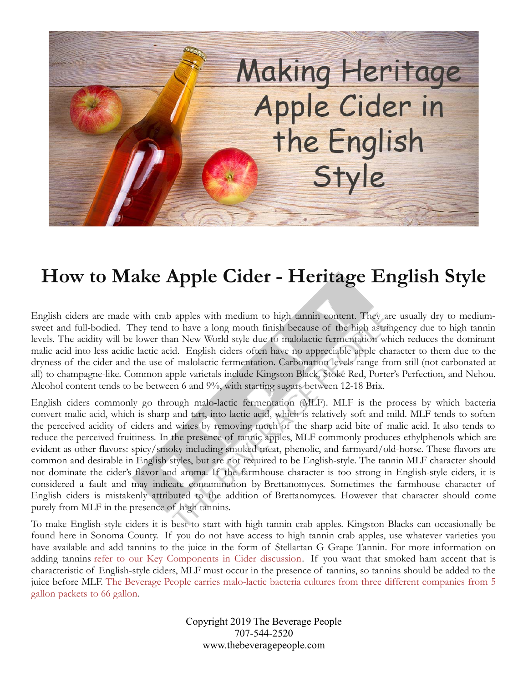

## **How to Make Apple Cider - Heritage English Style**

English ciders are made with crab apples with medium to high tannin content. They are usually dry to mediumsweet and full-bodied. They tend to have a long mouth finish because of the high astringency due to high tannin levels. The acidity will be lower than New World style due to malolactic fermentation which reduces the dominant malic acid into less acidic lactic acid. English ciders often have no appreciable apple character to them due to the dryness of the cider and the use of malolactic fermentation. Carbonation levels range from still (not carbonated at all) to champagne-like. Common apple varietals include Kingston Black, Stoke Red, Porter's Perfection, and Nehou. Alcohol content tends to be between 6 and 9%, with starting sugars between 12-18 Brix.

English ciders commonly go through malo-lactic fermentation (MLF). MLF is the process by which bacteria convert malic acid, which is sharp and tart, into lactic acid, which is relatively soft and mild. MLF tends to soften the perceived acidity of ciders and wines by removing much of the sharp acid bite of malic acid. It also tends to reduce the perceived fruitiness. In the presence of tannic apples, MLF commonly produces ethylphenols which are evident as other flavors: spicy/smoky including smoked meat, phenolic, and farmyard/old-horse. These flavors are common and desirable in English styles, but are not required to be English-style. The tannin MLF character should not dominate the cider's flavor and aroma. If the farmhouse character is too strong in English-style ciders, it is considered a fault and may indicate contamination by Brettanomyces. Sometimes the farmhouse character of English ciders is mistakenly attributed to the addition of Brettanomyces. However that character should come purely from MLF in the presence of high tannins.

To make English-style ciders it is best to start with high tannin crab apples. Kingston Blacks can occasionally be found here in Sonoma County. If you do not have access to high tannin crab apples, use whatever varieties you have available and add tannins to the juice in the form of Stellartan G Grape Tannin. For more information on adding tannins [refer to our Key Components in Cider discussion.](https://www.thebeveragepeople.com/how-to/cider-perry/key-components-in-hard-cider.html) If you want that smoked ham accent that is characteristic of English-style ciders, MLF must occur in the presence of tannins, so tannins should be added to the juice before MLF. [The Beverage People carries malo-lactic bacteria cultures from three different companies from 5](https://www.thebeveragepeople.com/wine-making/ingredients/malolactic-bacteria.html) [gallon packets to 66 gallon.](https://www.thebeveragepeople.com/wine-making/ingredients/malolactic-bacteria.html)

> Copyright 2019 The Beverage People 707-544-2520 www.thebeveragepeople.com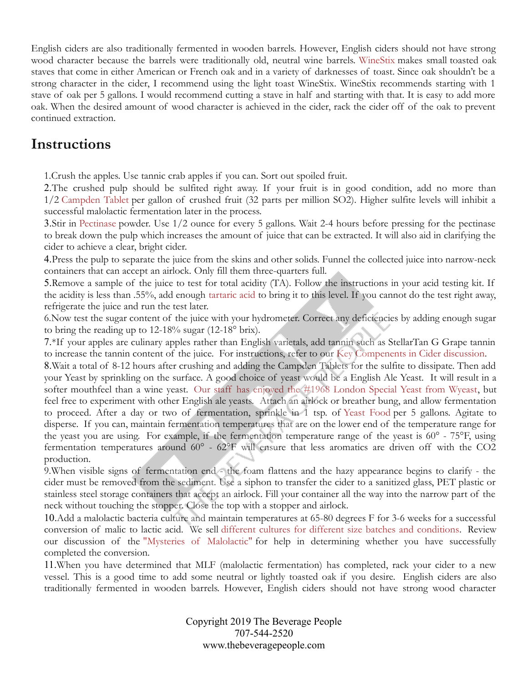English ciders are also traditionally fermented in wooden barrels. However, English ciders should not have strong wood character because the barrels were traditionally old, neutral wine barrels. [WineStix](https://www.thebeveragepeople.com/wine-making/treatment/oak-treatments.html) makes small toasted oak staves that come in either American or French oak and in a variety of darknesses of toast. Since oak shouldn't be a strong character in the cider, I recommend using the light toast WineStix. WineStix recommends starting with 1 stave of oak per 5 gallons. I would recommend cutting a stave in half and starting with that. It is easy to add more oak. When the desired amount of wood character is achieved in the cider, rack the cider off of the oak to prevent continued extraction.

## **Instructions**

1.Crush the apples. Use tannic crab apples if you can. Sort out spoiled fruit.

2.The crushed pulp should be sulfited right away. If your fruit is in good condition, add no more than 1/2 [Campden Tablet](https://www.thebeveragepeople.com/products/treatments/campden-tablets-25-count-1-per-gallon-65ppm.html) per gallon of crushed fruit (32 parts per million SO2). Higher sulfite levels will inhibit a successful malolactic fermentation later in the process.

3.Stir in [Pectinase](https://www.thebeveragepeople.com/products/treatments/pectinase-pectic-enzyme-1-oz-details.html) powder. Use 1/2 ounce for every 5 gallons. Wait 2-4 hours before pressing for the pectinase to break down the pulp which increases the amount of juice that can be extracted. It will also aid in clarifying the cider to achieve a clear, bright cider.

4.Press the pulp to separate the juice from the skins and other solids. Funnel the collected juice into narrow-neck containers that can accept an airlock. Only fill them three-quarters full.

5.Remove a sample of the juice to test for total acidity (TA). Follow the instructions in your acid testing kit. If the acidity is less than .55%, add enough [tartaric acid](https://www.thebeveragepeople.com/wine-making/treatment/wine-acids.html) to bring it to this level. If you cannot do the test right away, refrigerate the juice and run the test later.

6.Now test the sugar content of the juice with your hydrometer. Correct any deficiencies by adding enough sugar to bring the reading up to 12-18% sugar (12-18° brix).

7.\*If your apples are culinary apples rather than English varietals, add tannin such as StellarTan G Grape tannin to increase the tannin content of the juice. For instructions, refer to our [Key Compenents in Cider discussion.](https://www.thebeveragepeople.com/how-to/cider-perry/key-components-in-hard-cider.html)

8.Wait a total of 8-12 hours after crushing and adding the Campden Tablets for the sulfite to dissipate. Then add your Yeast by sprinkling on the surface. A good choice of yeast would be a English Ale Yeast. It will result in a softer mouthfeel than a wine yeast. [Our staff has enjoyed the #1968 London Special Yeast from Wyeast,](https://www.thebeveragepeople.com/products/yeast/1968-london-special-ale-wyeast-smackpack.html) but feel free to experiment with other English ale yeasts. Attach an airlock or breather bung, and allow fermentation to proceed. After a day or two of fermentation, sprinkle in 1 tsp. of [Yeast Food](https://www.thebeveragepeople.com/products/treatments/yeast-food-fermaid-k-3-oz.html) per 5 gallons. Agitate to disperse. If you can, maintain fermentation temperatures that are on the lower end of the temperature range for the yeast you are using. For example, if the fermentation temperature range of the yeast is 60° - 75°F, using fermentation temperatures around 60° - 62°F will ensure that less aromatics are driven off with the CO2 production.

9.When visible signs of fermentation end - the foam flattens and the hazy appearance begins to clarify - the cider must be removed from the sediment. Use a siphon to transfer the cider to a sanitized glass, PET plastic or stainless steel storage containers that accept an airlock. Fill your container all the way into the narrow part of the neck without touching the stopper. Close the top with a stopper and airlock.

10.Add a malolactic bacteria culture and maintain temperatures at 65-80 degrees F for 3-6 weeks for a successful conversion of malic to lactic acid. We sell [different cultures for different size batches and conditions.](https://www.thebeveragepeople.com/wine-making/ingredients/malolactic-bacteria.html) Review our discussion of the ["Mysteries of Malolactic" f](https://www.thebeveragepeople.com/how-to/wine/mysteries-of-malolactic.html)or help in determining whether you have successfully completed the conversion.

11.When you have determined that MLF (malolactic fermentation) has completed, rack your cider to a new vessel. This is a good time to add some neutral or lightly toasted oak if you desire. English ciders are also traditionally fermented in wooden barrels. However, English ciders should not have strong wood character

> Copyright 2019 The Beverage People 707-544-2520 www.thebeveragepeople.com